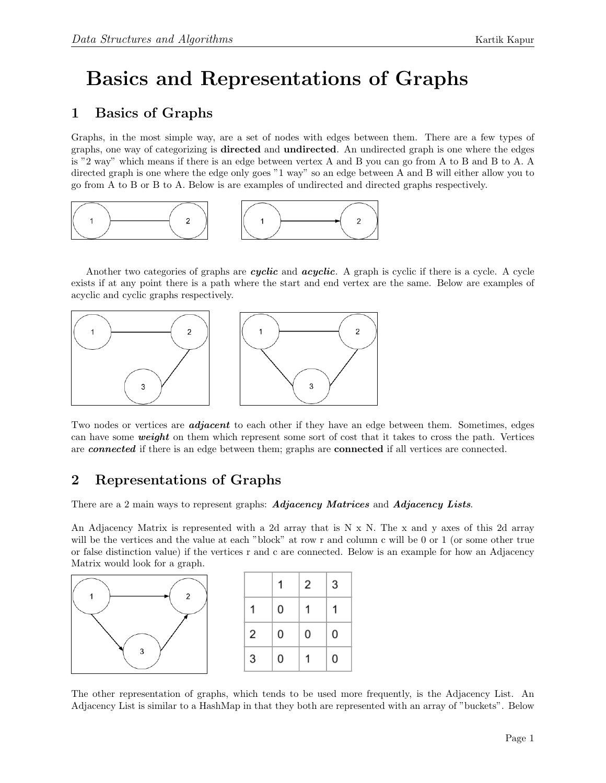## Basics and Representations of Graphs

## 1 Basics of Graphs

Graphs, in the most simple way, are a set of nodes with edges between them. There are a few types of graphs, one way of categorizing is directed and undirected. An undirected graph is one where the edges is "2 way" which means if there is an edge between vertex A and B you can go from A to B and B to A. A directed graph is one where the edge only goes "1 way" so an edge between A and B will either allow you to go from A to B or B to A. Below is are examples of undirected and directed graphs respectively.



Another two categories of graphs are *cyclic* and *acyclic*. A graph is cyclic if there is a cycle. A cycle exists if at any point there is a path where the start and end vertex are the same. Below are examples of acyclic and cyclic graphs respectively.



Two nodes or vertices are **adjacent** to each other if they have an edge between them. Sometimes, edges can have some **weight** on them which represent some sort of cost that it takes to cross the path. Vertices are connected if there is an edge between them; graphs are connected if all vertices are connected.

## 2 Representations of Graphs

There are a 2 main ways to represent graphs: Adjacency Matrices and Adjacency Lists.

An Adjacency Matrix is represented with a 2d array that is N x N. The x and y axes of this 2d array will be the vertices and the value at each "block" at row r and column c will be 0 or 1 (or some other true or false distinction value) if the vertices r and c are connected. Below is an example for how an Adjacency Matrix would look for a graph.



|   |   | 2 | 3 |
|---|---|---|---|
|   | 0 | 1 |   |
| 2 | 0 | 0 | 0 |
| 3 | 0 |   | 0 |

The other representation of graphs, which tends to be used more frequently, is the Adjacency List. An Adjacency List is similar to a HashMap in that they both are represented with an array of "buckets". Below